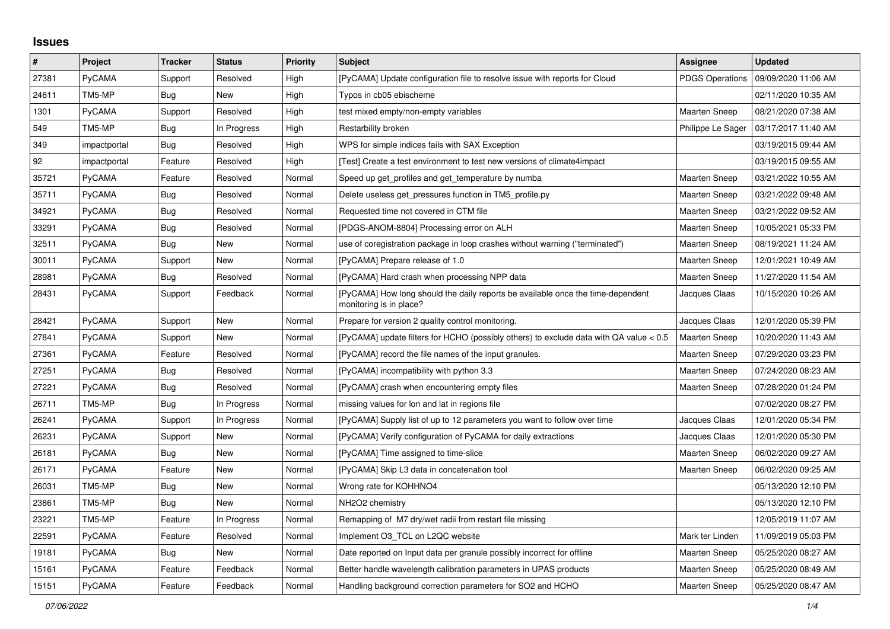## **Issues**

| $\sharp$ | Project       | <b>Tracker</b> | <b>Status</b> | <b>Priority</b> | <b>Subject</b>                                                                                             | Assignee               | <b>Updated</b>      |
|----------|---------------|----------------|---------------|-----------------|------------------------------------------------------------------------------------------------------------|------------------------|---------------------|
| 27381    | PyCAMA        | Support        | Resolved      | High            | [PyCAMA] Update configuration file to resolve issue with reports for Cloud                                 | <b>PDGS Operations</b> | 09/09/2020 11:06 AM |
| 24611    | TM5-MP        | Bug            | <b>New</b>    | High            | Typos in cb05 ebischeme                                                                                    |                        | 02/11/2020 10:35 AM |
| 1301     | PyCAMA        | Support        | Resolved      | High            | test mixed empty/non-empty variables                                                                       | <b>Maarten Sneep</b>   | 08/21/2020 07:38 AM |
| 549      | TM5-MP        | Bug            | In Progress   | High            | Restarbility broken                                                                                        | Philippe Le Sager      | 03/17/2017 11:40 AM |
| 349      | impactportal  | Bug            | Resolved      | High            | WPS for simple indices fails with SAX Exception                                                            |                        | 03/19/2015 09:44 AM |
| 92       | impactportal  | Feature        | Resolved      | High            | [Test] Create a test environment to test new versions of climate4impact                                    |                        | 03/19/2015 09:55 AM |
| 35721    | <b>PyCAMA</b> | Feature        | Resolved      | Normal          | Speed up get_profiles and get_temperature by numba                                                         | <b>Maarten Sneep</b>   | 03/21/2022 10:55 AM |
| 35711    | <b>PyCAMA</b> | Bug            | Resolved      | Normal          | Delete useless get pressures function in TM5 profile.py                                                    | <b>Maarten Sneep</b>   | 03/21/2022 09:48 AM |
| 34921    | PyCAMA        | <b>Bug</b>     | Resolved      | Normal          | Requested time not covered in CTM file                                                                     | Maarten Sneep          | 03/21/2022 09:52 AM |
| 33291    | PyCAMA        | Bug            | Resolved      | Normal          | [PDGS-ANOM-8804] Processing error on ALH                                                                   | Maarten Sneep          | 10/05/2021 05:33 PM |
| 32511    | PyCAMA        | Bug            | <b>New</b>    | Normal          | use of coregistration package in loop crashes without warning ("terminated")                               | <b>Maarten Sneep</b>   | 08/19/2021 11:24 AM |
| 30011    | PyCAMA        | Support        | <b>New</b>    | Normal          | [PyCAMA] Prepare release of 1.0                                                                            | <b>Maarten Sneep</b>   | 12/01/2021 10:49 AM |
| 28981    | PyCAMA        | Bug            | Resolved      | Normal          | [PyCAMA] Hard crash when processing NPP data                                                               | Maarten Sneep          | 11/27/2020 11:54 AM |
| 28431    | <b>PyCAMA</b> | Support        | Feedback      | Normal          | [PyCAMA] How long should the daily reports be available once the time-dependent<br>monitoring is in place? | Jacques Claas          | 10/15/2020 10:26 AM |
| 28421    | <b>PyCAMA</b> | Support        | New           | Normal          | Prepare for version 2 quality control monitoring.                                                          | Jacques Claas          | 12/01/2020 05:39 PM |
| 27841    | <b>PyCAMA</b> | Support        | <b>New</b>    | Normal          | [PyCAMA] update filters for HCHO (possibly others) to exclude data with QA value < 0.5                     | <b>Maarten Sneep</b>   | 10/20/2020 11:43 AM |
| 27361    | <b>PyCAMA</b> | Feature        | Resolved      | Normal          | [PyCAMA] record the file names of the input granules.                                                      | <b>Maarten Sneep</b>   | 07/29/2020 03:23 PM |
| 27251    | <b>PyCAMA</b> | Bug            | Resolved      | Normal          | [PyCAMA] incompatibility with python 3.3                                                                   | <b>Maarten Sneep</b>   | 07/24/2020 08:23 AM |
| 27221    | <b>PyCAMA</b> | Bug            | Resolved      | Normal          | [PyCAMA] crash when encountering empty files                                                               | Maarten Sneep          | 07/28/2020 01:24 PM |
| 26711    | TM5-MP        | Bug            | In Progress   | Normal          | missing values for lon and lat in regions file                                                             |                        | 07/02/2020 08:27 PM |
| 26241    | PyCAMA        | Support        | In Progress   | Normal          | [PyCAMA] Supply list of up to 12 parameters you want to follow over time                                   | Jacques Claas          | 12/01/2020 05:34 PM |
| 26231    | <b>PyCAMA</b> | Support        | New           | Normal          | [PyCAMA] Verify configuration of PyCAMA for daily extractions                                              | Jacques Claas          | 12/01/2020 05:30 PM |
| 26181    | <b>PyCAMA</b> | <b>Bug</b>     | New           | Normal          | [PyCAMA] Time assigned to time-slice                                                                       | <b>Maarten Sneep</b>   | 06/02/2020 09:27 AM |
| 26171    | PyCAMA        | Feature        | New           | Normal          | [PyCAMA] Skip L3 data in concatenation tool                                                                | <b>Maarten Sneep</b>   | 06/02/2020 09:25 AM |
| 26031    | TM5-MP        | Bug            | <b>New</b>    | Normal          | Wrong rate for KOHHNO4                                                                                     |                        | 05/13/2020 12:10 PM |
| 23861    | TM5-MP        | <b>Bug</b>     | New           | Normal          | NH2O2 chemistry                                                                                            |                        | 05/13/2020 12:10 PM |
| 23221    | TM5-MP        | Feature        | In Progress   | Normal          | Remapping of M7 dry/wet radii from restart file missing                                                    |                        | 12/05/2019 11:07 AM |
| 22591    | PyCAMA        | Feature        | Resolved      | Normal          | Implement O3 TCL on L2QC website                                                                           | Mark ter Linden        | 11/09/2019 05:03 PM |
| 19181    | <b>PyCAMA</b> | <b>Bug</b>     | <b>New</b>    | Normal          | Date reported on Input data per granule possibly incorrect for offline                                     | <b>Maarten Sneep</b>   | 05/25/2020 08:27 AM |
| 15161    | PyCAMA        | Feature        | Feedback      | Normal          | Better handle wavelength calibration parameters in UPAS products                                           | <b>Maarten Sneep</b>   | 05/25/2020 08:49 AM |
| 15151    | <b>PyCAMA</b> | Feature        | Feedback      | Normal          | Handling background correction parameters for SO2 and HCHO                                                 | <b>Maarten Sneep</b>   | 05/25/2020 08:47 AM |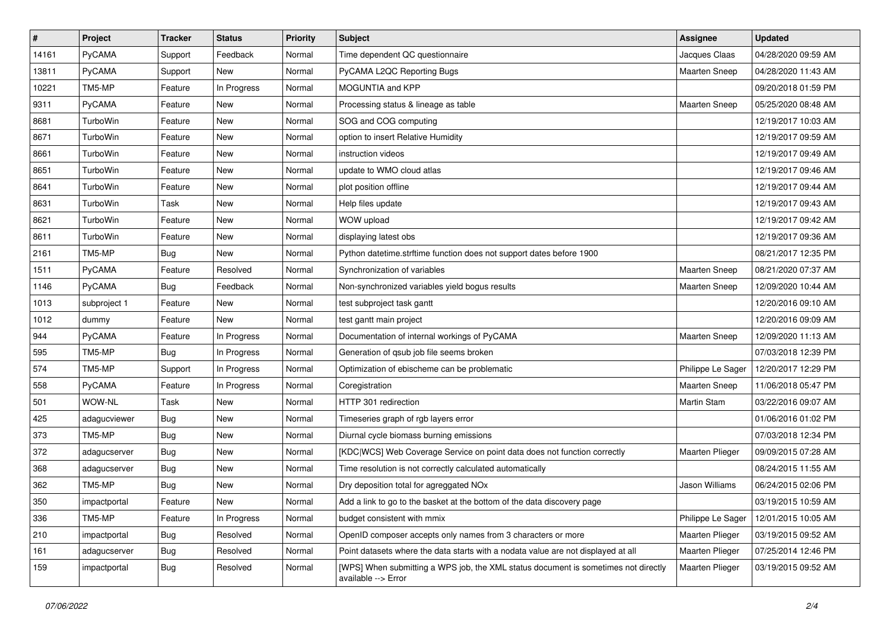| $\pmb{\#}$ | Project       | <b>Tracker</b> | <b>Status</b> | <b>Priority</b> | <b>Subject</b>                                                                                            | Assignee             | <b>Updated</b>      |
|------------|---------------|----------------|---------------|-----------------|-----------------------------------------------------------------------------------------------------------|----------------------|---------------------|
| 14161      | PyCAMA        | Support        | Feedback      | Normal          | Time dependent QC questionnaire                                                                           | Jacques Claas        | 04/28/2020 09:59 AM |
| 13811      | PyCAMA        | Support        | <b>New</b>    | Normal          | PyCAMA L2QC Reporting Bugs                                                                                | <b>Maarten Sneep</b> | 04/28/2020 11:43 AM |
| 10221      | TM5-MP        | Feature        | In Progress   | Normal          | MOGUNTIA and KPP                                                                                          |                      | 09/20/2018 01:59 PM |
| 9311       | PyCAMA        | Feature        | New           | Normal          | Processing status & lineage as table                                                                      | Maarten Sneep        | 05/25/2020 08:48 AM |
| 8681       | TurboWin      | Feature        | <b>New</b>    | Normal          | SOG and COG computing                                                                                     |                      | 12/19/2017 10:03 AM |
| 8671       | TurboWin      | Feature        | New           | Normal          | option to insert Relative Humidity                                                                        |                      | 12/19/2017 09:59 AM |
| 8661       | TurboWin      | Feature        | <b>New</b>    | Normal          | instruction videos                                                                                        |                      | 12/19/2017 09:49 AM |
| 8651       | TurboWin      | Feature        | New           | Normal          | update to WMO cloud atlas                                                                                 |                      | 12/19/2017 09:46 AM |
| 8641       | TurboWin      | Feature        | New           | Normal          | plot position offline                                                                                     |                      | 12/19/2017 09:44 AM |
| 8631       | TurboWin      | Task           | New           | Normal          | Help files update                                                                                         |                      | 12/19/2017 09:43 AM |
| 8621       | TurboWin      | Feature        | New           | Normal          | WOW upload                                                                                                |                      | 12/19/2017 09:42 AM |
| 8611       | TurboWin      | Feature        | New           | Normal          | displaying latest obs                                                                                     |                      | 12/19/2017 09:36 AM |
| 2161       | TM5-MP        | <b>Bug</b>     | New           | Normal          | Python datetime.strftime function does not support dates before 1900                                      |                      | 08/21/2017 12:35 PM |
| 1511       | PyCAMA        | Feature        | Resolved      | Normal          | Synchronization of variables                                                                              | <b>Maarten Sneep</b> | 08/21/2020 07:37 AM |
| 1146       | PyCAMA        | <b>Bug</b>     | Feedback      | Normal          | Non-synchronized variables yield bogus results                                                            | <b>Maarten Sneep</b> | 12/09/2020 10:44 AM |
| 1013       | subproject 1  | Feature        | New           | Normal          | test subproject task gantt                                                                                |                      | 12/20/2016 09:10 AM |
| 1012       | dummy         | Feature        | New           | Normal          | test gantt main project                                                                                   |                      | 12/20/2016 09:09 AM |
| 944        | PyCAMA        | Feature        | In Progress   | Normal          | Documentation of internal workings of PyCAMA                                                              | <b>Maarten Sneep</b> | 12/09/2020 11:13 AM |
| 595        | TM5-MP        | <b>Bug</b>     | In Progress   | Normal          | Generation of qsub job file seems broken                                                                  |                      | 07/03/2018 12:39 PM |
| 574        | TM5-MP        | Support        | In Progress   | Normal          | Optimization of ebischeme can be problematic                                                              | Philippe Le Sager    | 12/20/2017 12:29 PM |
| 558        | <b>PyCAMA</b> | Feature        | In Progress   | Normal          | Coregistration                                                                                            | Maarten Sneep        | 11/06/2018 05:47 PM |
| 501        | WOW-NL        | Task           | New           | Normal          | HTTP 301 redirection                                                                                      | <b>Martin Stam</b>   | 03/22/2016 09:07 AM |
| 425        | adagucviewer  | <b>Bug</b>     | <b>New</b>    | Normal          | Timeseries graph of rgb layers error                                                                      |                      | 01/06/2016 01:02 PM |
| 373        | TM5-MP        | <b>Bug</b>     | New           | Normal          | Diurnal cycle biomass burning emissions                                                                   |                      | 07/03/2018 12:34 PM |
| 372        | adagucserver  | Bug            | New           | Normal          | [KDC WCS] Web Coverage Service on point data does not function correctly                                  | Maarten Plieger      | 09/09/2015 07:28 AM |
| 368        | adagucserver  | Bug            | New           | Normal          | Time resolution is not correctly calculated automatically                                                 |                      | 08/24/2015 11:55 AM |
| 362        | TM5-MP        | Bug            | <b>New</b>    | Normal          | Dry deposition total for agreggated NOx                                                                   | Jason Williams       | 06/24/2015 02:06 PM |
| 350        | impactportal  | Feature        | New           | Normal          | Add a link to go to the basket at the bottom of the data discovery page                                   |                      | 03/19/2015 10:59 AM |
| 336        | TM5-MP        | Feature        | In Progress   | Normal          | budget consistent with mmix                                                                               | Philippe Le Sager    | 12/01/2015 10:05 AM |
| 210        | impactportal  | <b>Bug</b>     | Resolved      | Normal          | OpenID composer accepts only names from 3 characters or more                                              | Maarten Plieger      | 03/19/2015 09:52 AM |
| 161        | adagucserver  | <b>Bug</b>     | Resolved      | Normal          | Point datasets where the data starts with a nodata value are not displayed at all                         | Maarten Plieger      | 07/25/2014 12:46 PM |
| 159        | impactportal  | Bug            | Resolved      | Normal          | [WPS] When submitting a WPS job, the XML status document is sometimes not directly<br>available --> Error | Maarten Plieger      | 03/19/2015 09:52 AM |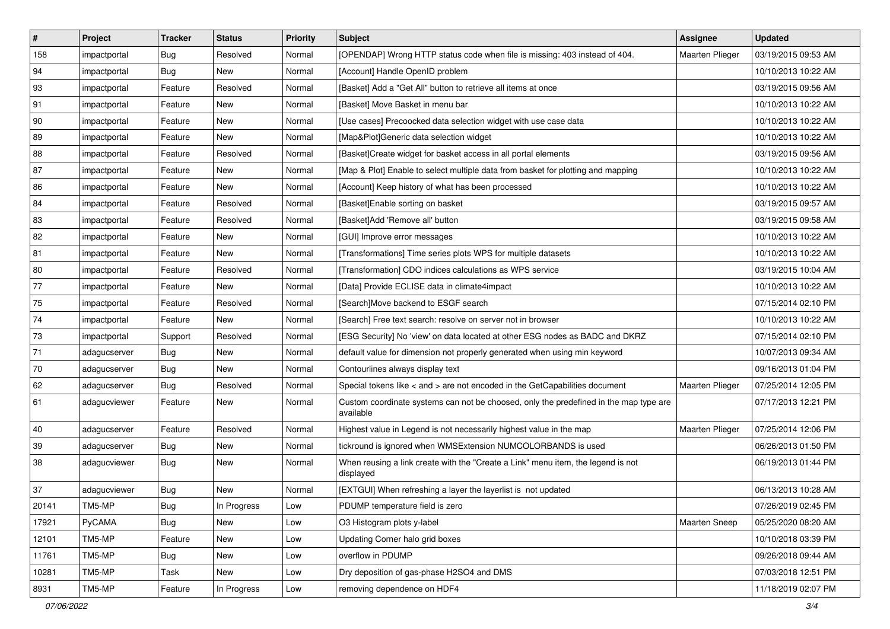| $\vert$ #    | Project      | <b>Tracker</b> | <b>Status</b> | <b>Priority</b> | <b>Subject</b>                                                                                     | <b>Assignee</b>        | <b>Updated</b>      |
|--------------|--------------|----------------|---------------|-----------------|----------------------------------------------------------------------------------------------------|------------------------|---------------------|
| 158          | impactportal | <b>Bug</b>     | Resolved      | Normal          | [OPENDAP] Wrong HTTP status code when file is missing: 403 instead of 404.                         | <b>Maarten Plieger</b> | 03/19/2015 09:53 AM |
| 94           | impactportal | Bug            | New           | Normal          | [Account] Handle OpenID problem                                                                    |                        | 10/10/2013 10:22 AM |
| 93           | impactportal | Feature        | Resolved      | Normal          | [Basket] Add a "Get All" button to retrieve all items at once                                      |                        | 03/19/2015 09:56 AM |
| 91           | impactportal | Feature        | New           | Normal          | [Basket] Move Basket in menu bar                                                                   |                        | 10/10/2013 10:22 AM |
| $ 90\rangle$ | impactportal | Feature        | <b>New</b>    | Normal          | [Use cases] Precoocked data selection widget with use case data                                    |                        | 10/10/2013 10:22 AM |
| 89           | impactportal | Feature        | New           | Normal          | [Map&Plot]Generic data selection widget                                                            |                        | 10/10/2013 10:22 AM |
| 88           | impactportal | Feature        | Resolved      | Normal          | [Basket]Create widget for basket access in all portal elements                                     |                        | 03/19/2015 09:56 AM |
| 87           | impactportal | Feature        | <b>New</b>    | Normal          | [Map & Plot] Enable to select multiple data from basket for plotting and mapping                   |                        | 10/10/2013 10:22 AM |
| 86           | impactportal | Feature        | New           | Normal          | [Account] Keep history of what has been processed                                                  |                        | 10/10/2013 10:22 AM |
| 84           | impactportal | Feature        | Resolved      | Normal          | [Basket]Enable sorting on basket                                                                   |                        | 03/19/2015 09:57 AM |
| 83           | impactportal | Feature        | Resolved      | Normal          | [Basket]Add 'Remove all' button                                                                    |                        | 03/19/2015 09:58 AM |
| 82           | impactportal | Feature        | New           | Normal          | [GUI] Improve error messages                                                                       |                        | 10/10/2013 10:22 AM |
| 81           | impactportal | Feature        | <b>New</b>    | Normal          | [Transformations] Time series plots WPS for multiple datasets                                      |                        | 10/10/2013 10:22 AM |
| 80           | impactportal | Feature        | Resolved      | Normal          | [Transformation] CDO indices calculations as WPS service                                           |                        | 03/19/2015 10:04 AM |
| 77           | impactportal | Feature        | New           | Normal          | [Data] Provide ECLISE data in climate4impact                                                       |                        | 10/10/2013 10:22 AM |
| 75           | impactportal | Feature        | Resolved      | Normal          | [Search]Move backend to ESGF search                                                                |                        | 07/15/2014 02:10 PM |
| 74           | impactportal | Feature        | New           | Normal          | [Search] Free text search: resolve on server not in browser                                        |                        | 10/10/2013 10:22 AM |
| 73           | impactportal | Support        | Resolved      | Normal          | [ESG Security] No 'view' on data located at other ESG nodes as BADC and DKRZ                       |                        | 07/15/2014 02:10 PM |
| 71           | adagucserver | <b>Bug</b>     | New           | Normal          | default value for dimension not properly generated when using min keyword                          |                        | 10/07/2013 09:34 AM |
| 70           | adagucserver | Bug            | New           | Normal          | Contourlines always display text                                                                   |                        | 09/16/2013 01:04 PM |
| 62           | adagucserver | Bug            | Resolved      | Normal          | Special tokens like < and > are not encoded in the GetCapabilities document                        | <b>Maarten Plieger</b> | 07/25/2014 12:05 PM |
| 61           | adagucviewer | Feature        | New           | Normal          | Custom coordinate systems can not be choosed, only the predefined in the map type are<br>available |                        | 07/17/2013 12:21 PM |
| 40           | adagucserver | Feature        | Resolved      | Normal          | Highest value in Legend is not necessarily highest value in the map                                | Maarten Plieger        | 07/25/2014 12:06 PM |
| 39           | adagucserver | Bug            | New           | Normal          | tickround is ignored when WMSExtension NUMCOLORBANDS is used                                       |                        | 06/26/2013 01:50 PM |
| 38           | adagucviewer | Bug            | New           | Normal          | When reusing a link create with the "Create a Link" menu item, the legend is not<br>displayed      |                        | 06/19/2013 01:44 PM |
| 37           | adagucviewer | Bug            | New           | Normal          | [EXTGUI] When refreshing a layer the layerlist is not updated                                      |                        | 06/13/2013 10:28 AM |
| 20141        | TM5-MP       | <b>Bug</b>     | In Progress   | Low             | PDUMP temperature field is zero                                                                    |                        | 07/26/2019 02:45 PM |
| 17921        | PyCAMA       | <b>Bug</b>     | New           | Low             | O3 Histogram plots y-label                                                                         | Maarten Sneep          | 05/25/2020 08:20 AM |
| 12101        | TM5-MP       | Feature        | New           | Low             | Updating Corner halo grid boxes                                                                    |                        | 10/10/2018 03:39 PM |
| 11761        | TM5-MP       | <b>Bug</b>     | New           | Low             | overflow in PDUMP                                                                                  |                        | 09/26/2018 09:44 AM |
| 10281        | TM5-MP       | Task           | New           | Low             | Dry deposition of gas-phase H2SO4 and DMS                                                          |                        | 07/03/2018 12:51 PM |
| 8931         | TM5-MP       | Feature        | In Progress   | Low             | removing dependence on HDF4                                                                        |                        | 11/18/2019 02:07 PM |